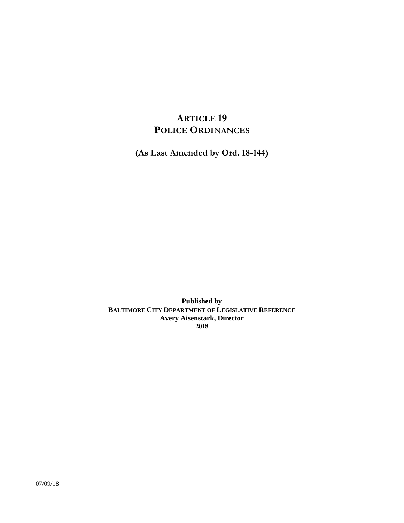# **ARTICLE 19 POLICE ORDINANCES**

**(As Last Amended by Ord. 18-144)**

**Published by BALTIMORE CITY DEPARTMENT OF LEGISLATIVE REFERENCE Avery Aisenstark, Director 2018**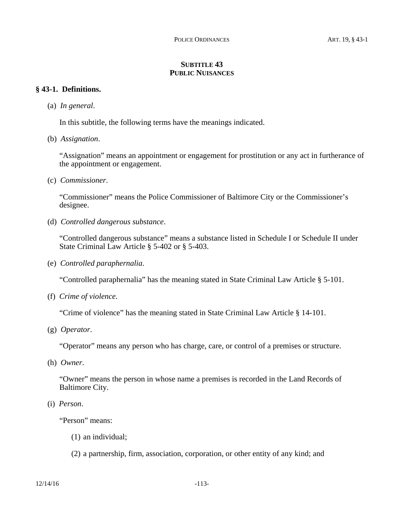## **SUBTITLE 43 PUBLIC NUISANCES**

### **§ 43-1. Definitions.**

(a) *In general*.

In this subtitle, the following terms have the meanings indicated.

(b) *Assignation*.

"Assignation" means an appointment or engagement for prostitution or any act in furtherance of the appointment or engagement.

(c) *Commissioner*.

"Commissioner" means the Police Commissioner of Baltimore City or the Commissioner's designee.

(d) *Controlled dangerous substance*.

"Controlled dangerous substance" means a substance listed in Schedule I or Schedule II under State Criminal Law Article § 5-402 or § 5-403.

(e) *Controlled paraphernalia*.

"Controlled paraphernalia" has the meaning stated in State Criminal Law Article § 5-101.

(f) *Crime of violence.*

"Crime of violence" has the meaning stated in State Criminal Law Article § 14-101.

(g) *Operator*.

"Operator" means any person who has charge, care, or control of a premises or structure.

(h) *Owner*.

"Owner" means the person in whose name a premises is recorded in the Land Records of Baltimore City.

(i) *Person*.

"Person" means:

- (1) an individual;
- (2) a partnership, firm, association, corporation, or other entity of any kind; and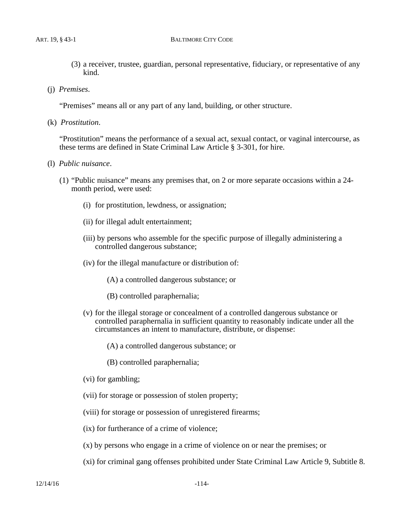#### ART. 19, § 43-1 BALTIMORE CITY CODE

- (3) a receiver, trustee, guardian, personal representative, fiduciary, or representative of any kind.
- (j) *Premises*.

"Premises" means all or any part of any land, building, or other structure.

(k) *Prostitution*.

"Prostitution" means the performance of a sexual act, sexual contact, or vaginal intercourse, as these terms are defined in State Criminal Law Article § 3-301, for hire.

- (l) *Public nuisance*.
	- (1) "Public nuisance" means any premises that, on 2 or more separate occasions within a 24 month period, were used:
		- (i) for prostitution, lewdness, or assignation;
		- (ii) for illegal adult entertainment;
		- (iii) by persons who assemble for the specific purpose of illegally administering a controlled dangerous substance;
		- (iv) for the illegal manufacture or distribution of:
			- (A) a controlled dangerous substance; or
			- (B) controlled paraphernalia;
		- (v) for the illegal storage or concealment of a controlled dangerous substance or controlled paraphernalia in sufficient quantity to reasonably indicate under all the circumstances an intent to manufacture, distribute, or dispense:
			- (A) a controlled dangerous substance; or
			- (B) controlled paraphernalia;
		- (vi) for gambling;
		- (vii) for storage or possession of stolen property;
		- (viii) for storage or possession of unregistered firearms;
		- (ix) for furtherance of a crime of violence;
		- (x) by persons who engage in a crime of violence on or near the premises; or
		- (xi) for criminal gang offenses prohibited under State Criminal Law Article 9, Subtitle 8.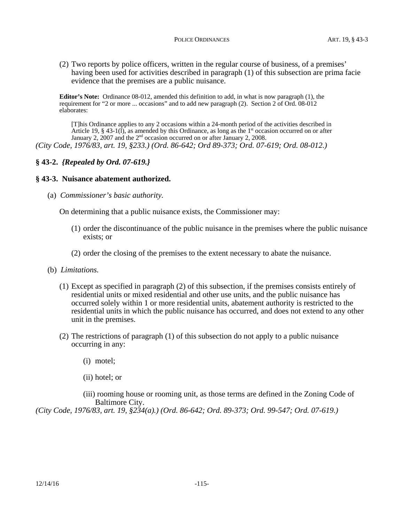(2) Two reports by police officers, written in the regular course of business, of a premises' having been used for activities described in paragraph (1) of this subsection are prima facie evidence that the premises are a public nuisance.

**Editor's Note:** Ordinance 08-012, amended this definition to add, in what is now paragraph (1), the requirement for "2 or more ... occasions" and to add new paragraph (2). Section 2 of Ord. 08-012 elaborates:

[T]his Ordinance applies to any 2 occasions within a 24-month period of the activities described in Article 19, § 43-1( $\hat{I}$ ), as amended by this Ordinance, as long as the 1<sup>st</sup> occasion occurred on or after January 2, 2007 and the 2<sup>nd</sup> occasion occurred on or after January 2, 2008. *(City Code, 1976/83, art. 19, §233.) (Ord. 86-642; Ord 89-373; Ord. 07-619; Ord. 08-012.)*

**§ 43-2.** *{Repealed by Ord. 07-619.}*

### **§ 43-3. Nuisance abatement authorized.**

(a) *Commissioner's basic authority.*

On determining that a public nuisance exists, the Commissioner may:

- (1) order the discontinuance of the public nuisance in the premises where the public nuisance exists; or
- (2) order the closing of the premises to the extent necessary to abate the nuisance.
- (b) *Limitations.*
	- (1) Except as specified in paragraph (2) of this subsection, if the premises consists entirely of residential units or mixed residential and other use units, and the public nuisance has occurred solely within 1 or more residential units, abatement authority is restricted to the residential units in which the public nuisance has occurred, and does not extend to any other unit in the premises.
	- (2) The restrictions of paragraph (1) of this subsection do not apply to a public nuisance occurring in any:
		- (i) motel;
		- (ii) hotel; or

(iii) rooming house or rooming unit, as those terms are defined in the Zoning Code of Baltimore City.

*(City Code, 1976/83, art. 19, §234(a).) (Ord. 86-642; Ord. 89-373; Ord. 99-547; Ord. 07-619.)*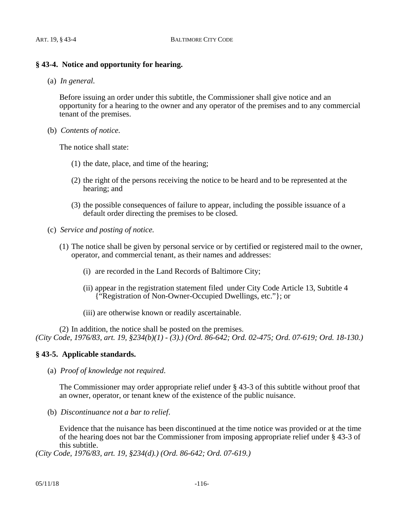## **§ 43-4. Notice and opportunity for hearing.**

(a) *In general.*

Before issuing an order under this subtitle, the Commissioner shall give notice and an opportunity for a hearing to the owner and any operator of the premises and to any commercial tenant of the premises.

(b) *Contents of notice.*

The notice shall state:

- (1) the date, place, and time of the hearing;
- (2) the right of the persons receiving the notice to be heard and to be represented at the hearing; and
- (3) the possible consequences of failure to appear, including the possible issuance of a default order directing the premises to be closed.
- (c) *Service and posting of notice.*
	- (1) The notice shall be given by personal service or by certified or registered mail to the owner, operator, and commercial tenant, as their names and addresses:
		- (i) are recorded in the Land Records of Baltimore City;
		- (ii) appear in the registration statement filed under City Code Article 13, Subtitle 4 {"Registration of Non-Owner-Occupied Dwellings, etc."}; or
		- (iii) are otherwise known or readily ascertainable.

(2) In addition, the notice shall be posted on the premises. *(City Code, 1976/83, art. 19, §234(b)(1) - (3).) (Ord. 86-642; Ord. 02-475; Ord. 07-619; Ord. 18-130.)*

## **§ 43-5. Applicable standards.**

(a) *Proof of knowledge not required*.

The Commissioner may order appropriate relief under § 43-3 of this subtitle without proof that an owner, operator, or tenant knew of the existence of the public nuisance.

(b) *Discontinuance not a bar to relief*.

Evidence that the nuisance has been discontinued at the time notice was provided or at the time of the hearing does not bar the Commissioner from imposing appropriate relief under § 43-3 of this subtitle.

*(City Code, 1976/83, art. 19, §234(d).) (Ord. 86-642; Ord. 07-619.)*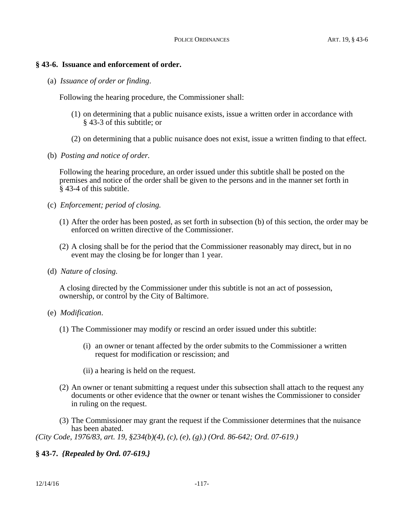#### **§ 43-6. Issuance and enforcement of order.**

(a) *Issuance of order or finding*.

Following the hearing procedure, the Commissioner shall:

- (1) on determining that a public nuisance exists, issue a written order in accordance with § 43-3 of this subtitle; or
- (2) on determining that a public nuisance does not exist, issue a written finding to that effect.
- (b) *Posting and notice of order.*

Following the hearing procedure, an order issued under this subtitle shall be posted on the premises and notice of the order shall be given to the persons and in the manner set forth in § 43-4 of this subtitle.

- (c) *Enforcement; period of closing.*
	- (1) After the order has been posted, as set forth in subsection (b) of this section, the order may be enforced on written directive of the Commissioner.
	- (2) A closing shall be for the period that the Commissioner reasonably may direct, but in no event may the closing be for longer than 1 year.
- (d) *Nature of closing.*

A closing directed by the Commissioner under this subtitle is not an act of possession, ownership, or control by the City of Baltimore.

- (e) *Modification*.
	- (1) The Commissioner may modify or rescind an order issued under this subtitle:
		- (i) an owner or tenant affected by the order submits to the Commissioner a written request for modification or rescission; and
		- (ii) a hearing is held on the request.
	- (2) An owner or tenant submitting a request under this subsection shall attach to the request any documents or other evidence that the owner or tenant wishes the Commissioner to consider in ruling on the request.
	- (3) The Commissioner may grant the request if the Commissioner determines that the nuisance has been abated.

*(City Code, 1976/83, art. 19, §234(b)(4), (c), (e), (g).) (Ord. 86-642; Ord. 07-619.)*

## **§ 43-7.** *{Repealed by Ord. 07-619.}*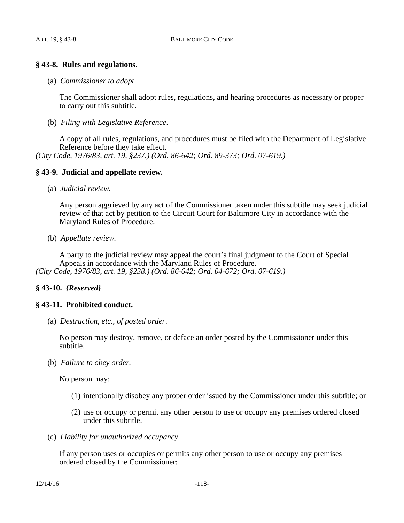## **§ 43-8. Rules and regulations.**

(a) *Commissioner to adopt*.

The Commissioner shall adopt rules, regulations, and hearing procedures as necessary or proper to carry out this subtitle.

(b) *Filing with Legislative Reference*.

A copy of all rules, regulations, and procedures must be filed with the Department of Legislative Reference before they take effect. *(City Code, 1976/83, art. 19, §237.) (Ord. 86-642; Ord. 89-373; Ord. 07-619.)*

#### **§ 43-9. Judicial and appellate review.**

(a) *Judicial review.*

Any person aggrieved by any act of the Commissioner taken under this subtitle may seek judicial review of that act by petition to the Circuit Court for Baltimore City in accordance with the Maryland Rules of Procedure.

(b) *Appellate review.*

A party to the judicial review may appeal the court's final judgment to the Court of Special Appeals in accordance with the Maryland Rules of Procedure. *(City Code, 1976/83, art. 19, §238.) (Ord. 86-642; Ord. 04-672; Ord. 07-619.)*

#### **§ 43-10.** *{Reserved}*

#### **§ 43-11. Prohibited conduct.**

(a) *Destruction, etc., of posted order*.

No person may destroy, remove, or deface an order posted by the Commissioner under this subtitle.

(b) *Failure to obey order.*

No person may:

- (1) intentionally disobey any proper order issued by the Commissioner under this subtitle; or
- (2) use or occupy or permit any other person to use or occupy any premises ordered closed under this subtitle.
- (c) *Liability for unauthorized occupancy*.

If any person uses or occupies or permits any other person to use or occupy any premises ordered closed by the Commissioner: